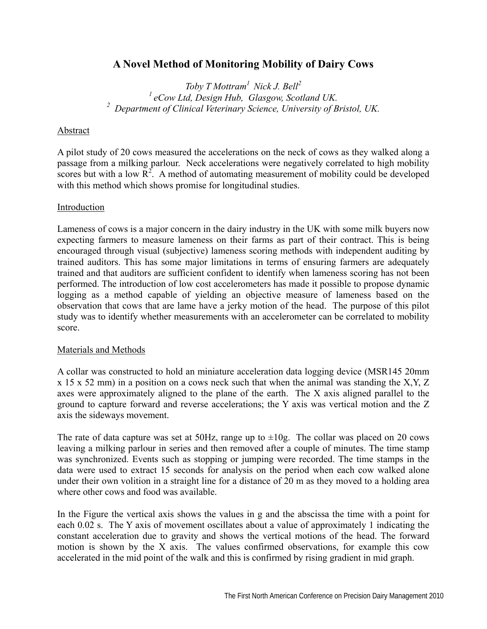# **A Novel Method of Monitoring Mobility of Dairy Cows**

*Toby T Mottram1 Nick J. Bell2 1 eCow Ltd, Design Hub, Glasgow, Scotland UK. 2 Department of Clinical Veterinary Science, University of Bristol, UK.* 

## Abstract

A pilot study of 20 cows measured the accelerations on the neck of cows as they walked along a passage from a milking parlour. Neck accelerations were negatively correlated to high mobility scores but with a low  $\overline{R}^2$ . A method of automating measurement of mobility could be developed with this method which shows promise for longitudinal studies.

## Introduction

Lameness of cows is a major concern in the dairy industry in the UK with some milk buyers now expecting farmers to measure lameness on their farms as part of their contract. This is being encouraged through visual (subjective) lameness scoring methods with independent auditing by trained auditors. This has some major limitations in terms of ensuring farmers are adequately trained and that auditors are sufficient confident to identify when lameness scoring has not been performed. The introduction of low cost accelerometers has made it possible to propose dynamic logging as a method capable of yielding an objective measure of lameness based on the observation that cows that are lame have a jerky motion of the head. The purpose of this pilot study was to identify whether measurements with an accelerometer can be correlated to mobility score.

## Materials and Methods

A collar was constructed to hold an miniature acceleration data logging device (MSR145 20mm  $x$  15 x 52 mm) in a position on a cows neck such that when the animal was standing the X,Y, Z axes were approximately aligned to the plane of the earth. The X axis aligned parallel to the ground to capture forward and reverse accelerations; the Y axis was vertical motion and the Z axis the sideways movement.

The rate of data capture was set at 50Hz, range up to  $\pm 10g$ . The collar was placed on 20 cows leaving a milking parlour in series and then removed after a couple of minutes. The time stamp was synchronized. Events such as stopping or jumping were recorded. The time stamps in the data were used to extract 15 seconds for analysis on the period when each cow walked alone under their own volition in a straight line for a distance of 20 m as they moved to a holding area where other cows and food was available.

In the Figure the vertical axis shows the values in g and the abscissa the time with a point for each 0.02 s. The Y axis of movement oscillates about a value of approximately 1 indicating the constant acceleration due to gravity and shows the vertical motions of the head. The forward motion is shown by the X axis. The values confirmed observations, for example this cow accelerated in the mid point of the walk and this is confirmed by rising gradient in mid graph.